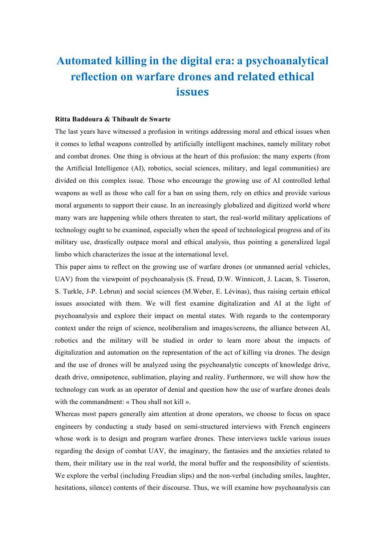## **Automated killing in the digital era: a psychoanalytical reflection on warfare drones and related ethical issues**

## **Ritta Baddoura & Thibault de Swarte**

The last years have witnessed a profusion in writings addressing moral and ethical issues when it comes to lethal weapons controlled by artificially intelligent machines, namely military robot and combat drones. One thing is obvious at the heart of this profusion: the many experts (from the Artificial Intelligence (AI), robotics, social sciences, military, and legal communities) are divided on this complex issue. Those who encourage the growing use of AI controlled lethal weapons as well as those who call for a ban on using them, rely on ethics and provide various moral arguments to support their cause. In an increasingly globalized and digitized world where many wars are happening while others threaten to start, the real-world military applications of technology ought to be examined, especially when the speed of technological progress and of its military use, drastically outpace moral and ethical analysis, thus pointing a generalized legal limbo which characterizes the issue at the international level.

This paper aims to reflect on the growing use of warfare drones (or unmanned aerial vehicles, UAV) from the viewpoint of psychoanalysis (S. Freud, D.W. Winnicott, J. Lacan, S. Tisseron, S. Turkle, J-P. Lebrun) and social sciences (M.Weber, E. Lévinas), thus raising certain ethical issues associated with them. We will first examine digitalization and AI at the light of psychoanalysis and explore their impact on mental states. With regards to the contemporary context under the reign of science, neoliberalism and images/screens, the alliance between AI, robotics and the military will be studied in order to learn more about the impacts of digitalization and automation on the representation of the act of killing via drones. The design and the use of drones will be analyzed using the psychoanalytic concepts of knowledge drive, death drive, omnipotence, sublimation, playing and reality. Furthermore, we will show how the technology can work as an operator of denial and question how the use of warfare drones deals with the commandment: « Thou shall not kill ».

Whereas most papers generally aim attention at drone operators, we choose to focus on space engineers by conducting a study based on semi-structured interviews with French engineers whose work is to design and program warfare drones. These interviews tackle various issues regarding the design of combat UAV, the imaginary, the fantasies and the anxieties related to them, their military use in the real world, the moral buffer and the responsibility of scientists. We explore the verbal (including Freudian slips) and the non-verbal (including smiles, laughter, hesitations, silence) contents of their discourse. Thus, we will examine how psychoanalysis can